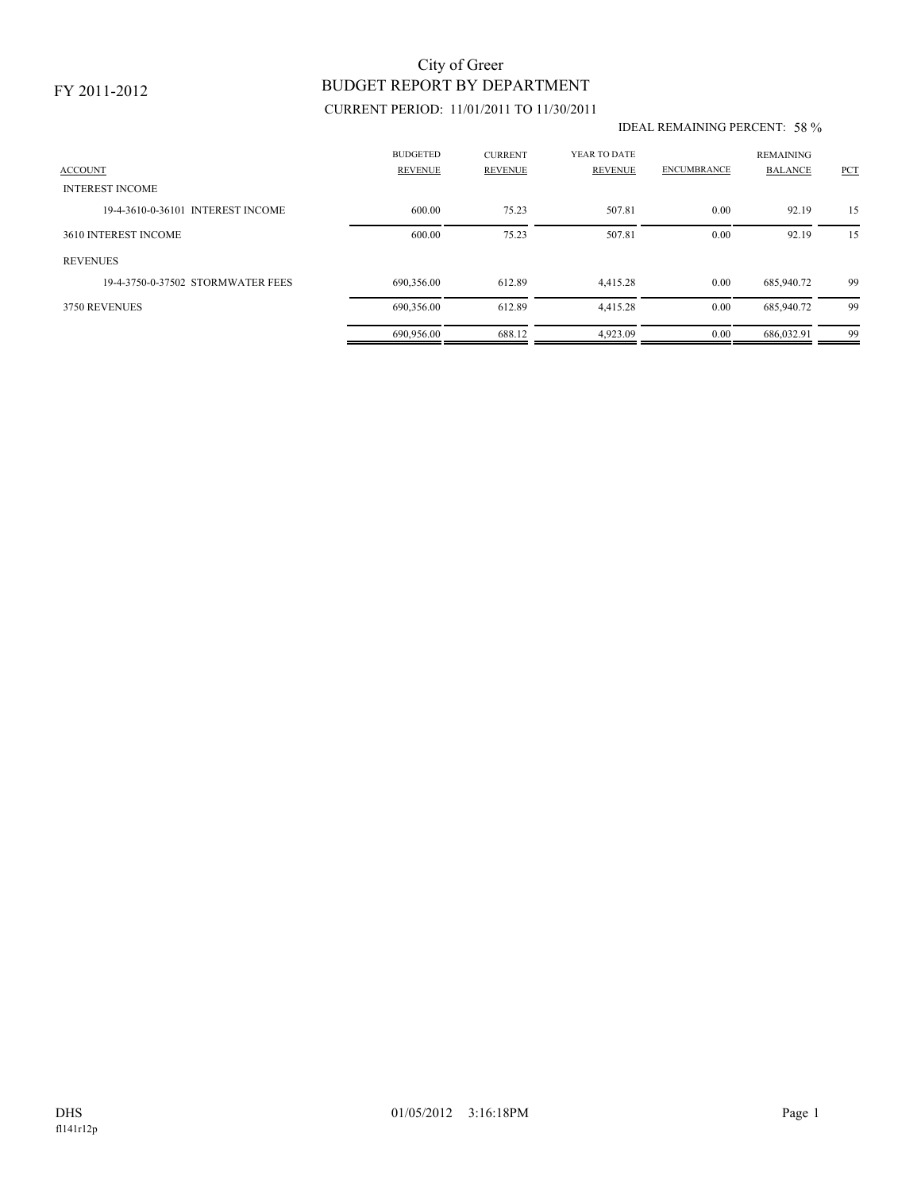### FY 2011-2012

# BUDGET REPORT BY DEPARTMENT City of Greer

## CURRENT PERIOD: 11/01/2011 TO 11/30/2011

#### IDEAL REMAINING PERCENT: 58 %

| <b>ACCOUNT</b><br><b>INTEREST INCOME</b> | <b>BUDGETED</b><br><b>REVENUE</b> | <b>CURRENT</b><br><b>REVENUE</b> | YEAR TO DATE<br>REVENUE | <b>ENCUMBRANCE</b> | <b>REMAINING</b><br><b>BALANCE</b> | PCT |
|------------------------------------------|-----------------------------------|----------------------------------|-------------------------|--------------------|------------------------------------|-----|
| 19-4-3610-0-36101 INTEREST INCOME        | 600.00                            | 75.23                            | 507.81                  | 0.00               | 92.19                              | 15  |
| 3610 INTEREST INCOME                     | 600.00                            | 75.23                            | 507.81                  | 0.00               | 92.19                              | 15  |
| <b>REVENUES</b>                          |                                   |                                  |                         |                    |                                    |     |
| 19-4-3750-0-37502 STORMWATER FEES        | 690.356.00                        | 612.89                           | 4.415.28                | 0.00               | 685,940.72                         | -99 |
| 3750 REVENUES                            | 690,356.00                        | 612.89                           | 4,415.28                | 0.00               | 685,940.72                         | 99  |
|                                          | 690,956.00                        | 688.12                           | 4,923.09                | 0.00               | 686,032.91                         | 99  |